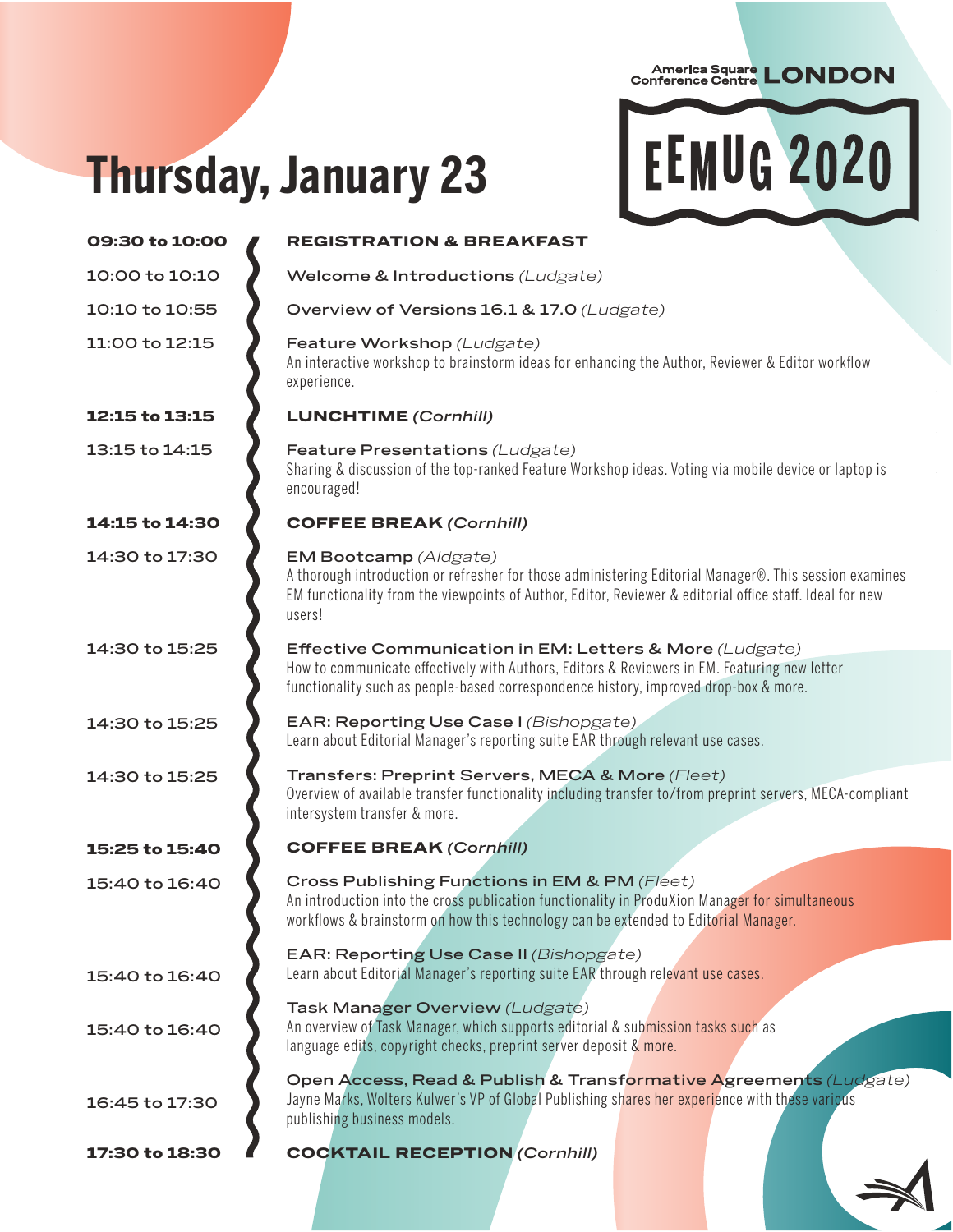## **Thursday, January 23**



| 09:30 to 10:00 | <b>REGISTRATION &amp; BREAKFAST</b>                                                                                                                                                                                                                   |
|----------------|-------------------------------------------------------------------------------------------------------------------------------------------------------------------------------------------------------------------------------------------------------|
| 10:00 to 10:10 | Welcome & Introductions (Ludgate)                                                                                                                                                                                                                     |
| 10:10 to 10:55 | Overview of Versions 16.1 & 17.0 (Ludgate)                                                                                                                                                                                                            |
| 11:00 to 12:15 | Feature Workshop (Ludgate)<br>An interactive workshop to brainstorm ideas for enhancing the Author, Reviewer & Editor workflow<br>experience.                                                                                                         |
| 12:15 to 13:15 | <b>LUNCHTIME</b> (Cornhill)                                                                                                                                                                                                                           |
| 13:15 to 14:15 | Feature Presentations (Ludgate)<br>Sharing & discussion of the top-ranked Feature Workshop ideas. Voting via mobile device or laptop is<br>encouraged!                                                                                                |
| 14:15 to 14:30 | <b>COFFEE BREAK (Cornhill)</b>                                                                                                                                                                                                                        |
| 14:30 to 17:30 | EM Bootcamp (Aldgate)<br>A thorough introduction or refresher for those administering Editorial Manager®. This session examines<br>EM functionality from the viewpoints of Author, Editor, Reviewer & editorial office staff. Ideal for new<br>users! |
| 14:30 to 15:25 | Effective Communication in EM: Letters & More (Ludgate)<br>How to communicate effectively with Authors, Editors & Reviewers in EM. Featuring new letter<br>functionality such as people-based correspondence history, improved drop-box & more.       |
| 14:30 to 15:25 | EAR: Reporting Use Case I (Bishopgate)<br>Learn about Editorial Manager's reporting suite EAR through relevant use cases.                                                                                                                             |
| 14:30 to 15:25 | Transfers: Preprint Servers, MECA & More (Fleet)<br>Overview of available transfer functionality including transfer to/from preprint servers, MECA-compliant<br>intersystem transfer & more.                                                          |
| 15:25 to 15:40 | <b>COFFEE BREAK (Cornhill)</b>                                                                                                                                                                                                                        |
| 15:40 to 16:40 | Cross Publishing Functions in EM & PM (Fleet)<br>An introduction into the cross publication functionality in ProduXion Manager for simultaneous<br>workflows & brainstorm on how this technology can be extended to Editorial Manager.                |
| 15:40 to 16:40 | <b>EAR: Reporting Use Case II (Bishopgate)</b><br>Learn about Editorial Manager's reporting suite EAR through relevant use cases.                                                                                                                     |
| 15:40 to 16:40 | Task Manager Overview (Ludgate)<br>An overview of Task Manager, which supports editorial & submission tasks such as<br>language edits, copyright checks, preprint server deposit & more.                                                              |
| 16:45 to 17:30 | Open Access, Read & Publish & Transformative Agreements (Ludgate)<br>Jayne Marks, Wolters Kulwer's VP of Global Publishing shares her experience with these various<br>publishing business models.                                                    |
| 17:30 to 18:30 | <b>COCKTAIL RECEPTION (Cornhill)</b>                                                                                                                                                                                                                  |